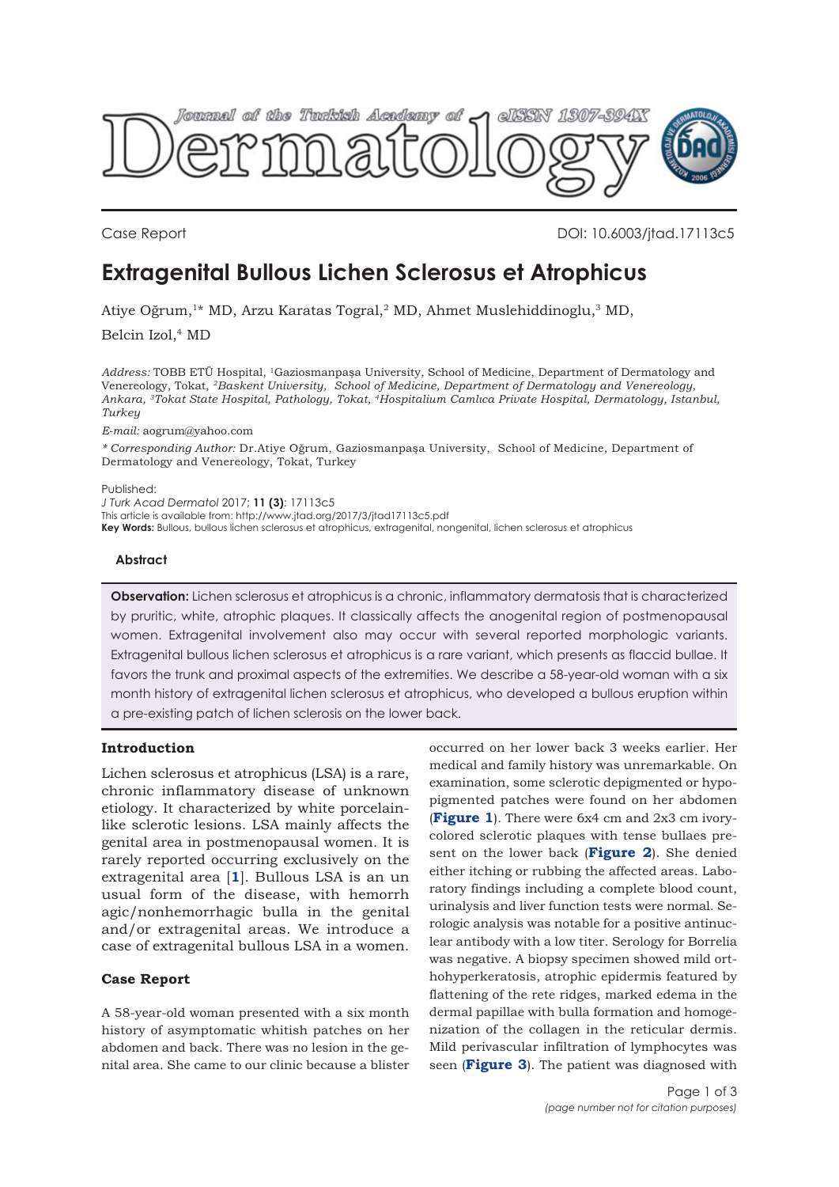

Case Report DOI: 10.6003/jtad.17113c5

# **Extragenital Bullous Lichen Sclerosus et Atrophicus**

Atiye Oğrum,1\* MD, Arzu Karatas Togral,2 MD, Ahmet Muslehiddinoglu,3 MD,

Belcin Izol,<sup>4</sup> MD

*Address:* TOBB ETÜ Hospital, 1Gaziosmanpaşa University, School of Medicine, Department of Dermatology and Venereology, Tokat, *2Baskent University, School of Medicine, Department of Dermatology and Venereology, Ankara, 3Tokat State Hospital, Pathology, Tokat, 4Hospitalium Camlıca Private Hospital, Dermatology, Istanbul, Turkey*

*E-mail:* aogrum@yahoo.com

*\* Corresponding Author:* Dr.Atiye Oğrum, Gaziosmanpaşa University, School of Medicine, Department of Dermatology and Venereology, Tokat, Turkey

#### Published:

*J Turk Acad Dermatol* 2017; **11 (3)**: 17113c5

This article is available from: http://www.jtad.org/2017/3/jtad17113c5.pdf

**Key Words:** Bullous, bullous lichen sclerosus et atrophicus, extragenital, nongenital, lichen sclerosus et atrophicus

#### **Abstract**

**Observation:** Lichen sclerosus et atrophicus is a chronic, inflammatory dermatosis that is characterized by pruritic, white, atrophic plaques. It classically affects the anogenital region of postmenopausal women. Extragenital involvement also may occur with several reported morphologic variants. Extragenital bullous lichen sclerosus et atrophicus is a rare variant, which presents as flaccid bullae. It favors the trunk and proximal aspects of the extremities. We describe a 58-year-old woman with a six month history of extragenital lichen sclerosus et atrophicus, who developed a bullous eruption within a pre-existing patch of lichen sclerosis on the lower back.

### **Introduction**

Lichen sclerosus et atrophicus (LSA) is a rare, chronic inflammatory disease of unknown etiology. It characterized by white porcelainlike sclerotic lesions. LSA mainly affects the genital area in postmenopausal women. It is rarely reported occurring exclusively on the extragenital area [**[1](#page-2-0)**]. Bullous LSA is an un usual form of the disease, with hemorrh agic/nonhemorrhagic bulla in the genital and/or extragenital areas. We introduce a case of extragenital bullous LSA in a women.

# **Case Report**

A 58-year-old woman presented with a six month history of asymptomatic whitish patches on her abdomen and back. There was no lesion in the genital area. She came to our clinic because a blister

occurred on her lower back 3 weeks earlier. Her medical and family history was unremarkable. On examination, some sclerotic depigmented or hypopigmented patches were found on her abdomen (**[Figure 1](#page-1-0)**). There were 6x4 cm and 2x3 cm ivorycolored sclerotic plaques with tense bullaes present on the lower back (**[Figure 2](#page-1-0)**). She denied either itching or rubbing the affected areas. Laboratory findings including a complete blood count, urinalysis and liver function tests were normal. Serologic analysis was notable for a positive antinuclear antibody with a low titer. Serology for Borrelia was negative. A biopsy specimen showed mild orthohyperkeratosis, atrophic epidermis featured by flattening of the rete ridges, marked edema in the dermal papillae with bulla formation and homogenization of the collagen in the reticular dermis. Mild perivascular infiltration of lymphocytes was seen (**[Figure 3](#page-1-0)**). The patient was diagnosed with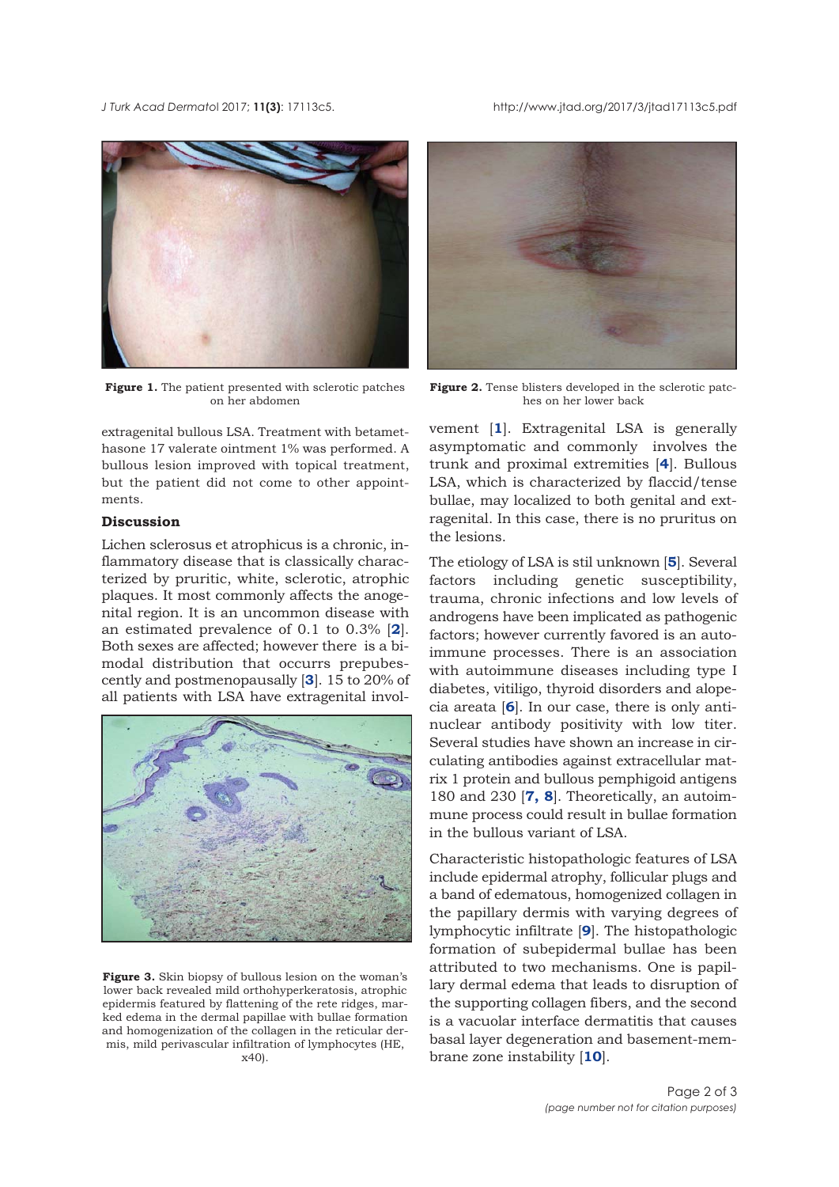<span id="page-1-0"></span>*J Turk Acad Dermato*l 2017; **11(3)**: 17113c5. http://www.jtad.org/2017/3/jtad17113c5.pdf



**Figure 1.** The patient presented with sclerotic patches on her abdomen

extragenital bullous LSA. Treatment with betamethasone 17 valerate ointment 1% was performed. A bullous lesion improved with topical treatment, but the patient did not come to other appointments.

# **Discussion**

Lichen sclerosus et atrophicus is a chronic, inflammatory disease that is classically characterized by pruritic, white, sclerotic, atrophic plaques. It most commonly affects the anogenital region. It is an uncommon disease with an estimated prevalence of 0.1 to 0.3% [**[2](#page-2-0)**]. Both sexes are affected; however there is a bimodal distribution that occurrs prepubescently and postmenopausally [**[3](#page-2-0)**]. 15 to 20% of all patients with LSA have extragenital invol-



Figure 3. Skin biopsy of bullous lesion on the woman's lower back revealed mild orthohyperkeratosis, atrophic epidermis featured by flattening of the rete ridges, marked edema in the dermal papillae with bullae formation and homogenization of the collagen in the reticular dermis, mild perivascular infiltration of lymphocytes (HE, x40).



**Figure 2.** Tense blisters developed in the sclerotic patches on her lower back

vement [**[1](#page-2-0)**]. Extragenital LSA is generally asymptomatic and commonly involves the trunk and proximal extremities [**[4](#page-2-0)**]. Bullous LSA, which is characterized by flaccid/tense bullae, may localized to both genital and extragenital. In this case, there is no pruritus on the lesions.

The etiology of LSA is stil unknown [**[5](#page-2-0)**]. Several factors including genetic susceptibility, trauma, chronic infections and low levels of androgens have been implicated as pathogenic factors; however currently favored is an autoimmune processes. There is an association with autoimmune diseases including type I diabetes, vitiligo, thyroid disorders and alopecia areata [**[6](#page-2-0)**]. In our case, there is only antinuclear antibody positivity with low titer. Several studies have shown an increase in circulating antibodies against extracellular matrix 1 protein and bullous pemphigoid antigens 180 and 230 [**[7](#page-2-0), [8](#page-2-0)**]. Theoretically, an autoimmune process could result in bullae formation in the bullous variant of LSA.

Characteristic histopathologic features of LSA include epidermal atrophy, follicular plugs and a band of edematous, homogenized collagen in the papillary dermis with varying degrees of lymphocytic infiltrate [**[9](#page-2-0)**]. The histopathologic formation of subepidermal bullae has been attributed to two mechanisms. One is papillary dermal edema that leads to disruption of the supporting collagen fibers, and the second is a vacuolar interface dermatitis that causes basal layer degeneration and basement-membrane zone instability [**[10](#page-2-0)**].